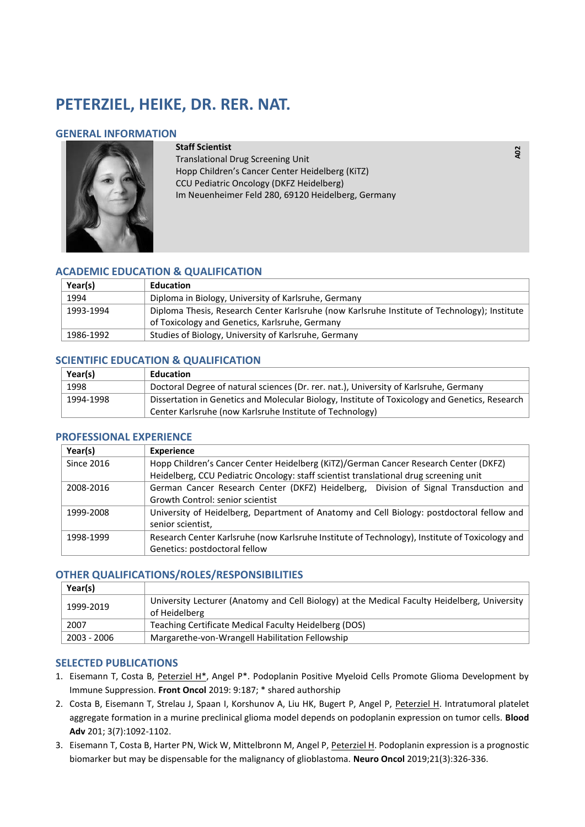# **PETERZIEL, HEIKE, DR. RER. NAT.**

## **GENERAL INFORMATION**



#### **Staff Scientist**

Translational Drug Screening Unit Hopp Children's Cancer Center Heidelberg (KiTZ) CCU Pediatric Oncology (DKFZ Heidelberg) Im Neuenheimer Feld 280, 69120 Heidelberg, Germany **A02** 

## **ACADEMIC EDUCATION & QUALIFICATION**

| Year(s)   | Education                                                                                    |
|-----------|----------------------------------------------------------------------------------------------|
| 1994      | Diploma in Biology, University of Karlsruhe, Germany                                         |
| 1993-1994 | Diploma Thesis, Research Center Karlsruhe (now Karlsruhe Institute of Technology); Institute |
|           | of Toxicology and Genetics, Karlsruhe, Germany                                               |
| 1986-1992 | Studies of Biology, University of Karlsruhe, Germany                                         |

## **SCIENTIFIC EDUCATION & QUALIFICATION**

| Year(s)   | <b>Education</b>                                                                               |
|-----------|------------------------------------------------------------------------------------------------|
| 1998      | Doctoral Degree of natural sciences (Dr. rer. nat.), University of Karlsruhe, Germany          |
| 1994-1998 | Dissertation in Genetics and Molecular Biology, Institute of Toxicology and Genetics, Research |
|           | Center Karlsruhe (now Karlsruhe Institute of Technology)                                       |

## **PROFESSIONAL EXPERIENCE**

| Year(s)           | <b>Experience</b>                                                                              |
|-------------------|------------------------------------------------------------------------------------------------|
| <b>Since 2016</b> | Hopp Children's Cancer Center Heidelberg (KiTZ)/German Cancer Research Center (DKFZ)           |
|                   | Heidelberg, CCU Pediatric Oncology: staff scientist translational drug screening unit          |
| 2008-2016         | German Cancer Research Center (DKFZ) Heidelberg, Division of Signal Transduction and           |
|                   | Growth Control: senior scientist                                                               |
| 1999-2008         | University of Heidelberg, Department of Anatomy and Cell Biology: postdoctoral fellow and      |
|                   | senior scientist,                                                                              |
| 1998-1999         | Research Center Karlsruhe (now Karlsruhe Institute of Technology), Institute of Toxicology and |
|                   | Genetics: postdoctoral fellow                                                                  |

## **OTHER QUALIFICATIONS/ROLES/RESPONSIBILITIES**

| Year(s)     |                                                                                                               |
|-------------|---------------------------------------------------------------------------------------------------------------|
| 1999-2019   | University Lecturer (Anatomy and Cell Biology) at the Medical Faculty Heidelberg, University<br>of Heidelberg |
| 2007        | Teaching Certificate Medical Faculty Heidelberg (DOS)                                                         |
| 2003 - 2006 | Margarethe-von-Wrangell Habilitation Fellowship                                                               |

## **SELECTED PUBLICATIONS**

- 1. Eisemann T, Costa B, Peterziel H\*, Angel P\*. Podoplanin Positive Myeloid Cells Promote Glioma Development by Immune Suppression. **Front Oncol** 2019: 9:187; \* shared authorship
- 2. Costa B, Eisemann T, Strelau J, Spaan I, Korshunov A, Liu HK, Bugert P, Angel P, Peterziel H. Intratumoral platelet aggregate formation in a murine preclinical glioma model depends on podoplanin expression on tumor cells. **Blood Adv** 201; 3(7):1092-1102.
- 3. Eisemann T, Costa B, Harter PN, Wick W, Mittelbronn M, Angel P, Peterziel H. Podoplanin expression is a prognostic biomarker but may be dispensable for the malignancy of glioblastoma. **Neuro Oncol** 2019;21(3):326-336.